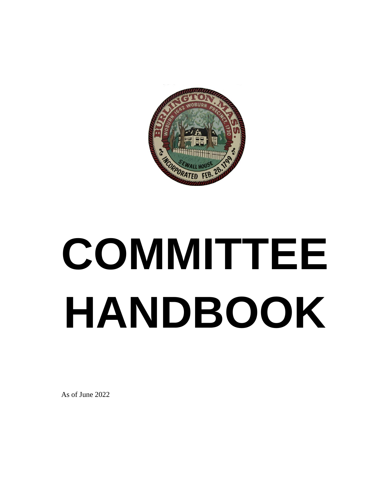

# **COMMITTEE HANDBOOK**

As of June 2022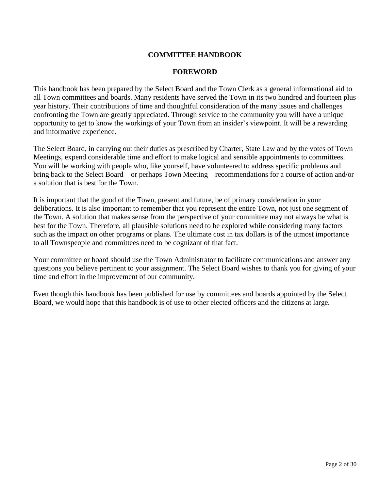# **COMMITTEE HANDBOOK**

#### **FOREWORD**

This handbook has been prepared by the Select Board and the Town Clerk as a general informational aid to all Town committees and boards. Many residents have served the Town in its two hundred and fourteen plus year history. Their contributions of time and thoughtful consideration of the many issues and challenges confronting the Town are greatly appreciated. Through service to the community you will have a unique opportunity to get to know the workings of your Town from an insider's viewpoint. It will be a rewarding and informative experience.

The Select Board, in carrying out their duties as prescribed by Charter, State Law and by the votes of Town Meetings, expend considerable time and effort to make logical and sensible appointments to committees. You will be working with people who, like yourself, have volunteered to address specific problems and bring back to the Select Board—or perhaps Town Meeting—recommendations for a course of action and/or a solution that is best for the Town.

It is important that the good of the Town, present and future, be of primary consideration in your deliberations. It is also important to remember that you represent the entire Town, not just one segment of the Town. A solution that makes sense from the perspective of your committee may not always be what is best for the Town. Therefore, all plausible solutions need to be explored while considering many factors such as the impact on other programs or plans. The ultimate cost in tax dollars is of the utmost importance to all Townspeople and committees need to be cognizant of that fact.

Your committee or board should use the Town Administrator to facilitate communications and answer any questions you believe pertinent to your assignment. The Select Board wishes to thank you for giving of your time and effort in the improvement of our community.

Even though this handbook has been published for use by committees and boards appointed by the Select Board, we would hope that this handbook is of use to other elected officers and the citizens at large.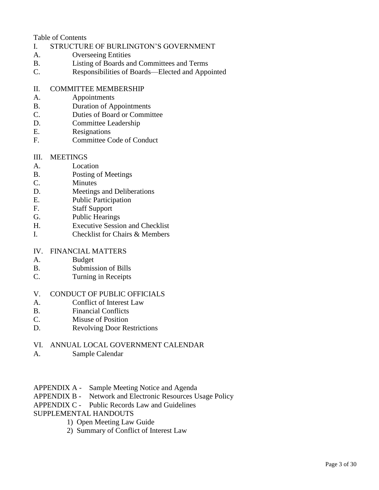Table of Contents

- I. STRUCTURE OF BURLINGTON'S GOVERNMENT
- A. Overseeing Entities
- B. Listing of Boards and Committees and Terms
- C. Responsibilities of Boards—Elected and Appointed

# II. COMMITTEE MEMBERSHIP

- A. Appointments
- B. Duration of Appointments
- C. Duties of Board or Committee
- D. Committee Leadership
- E. Resignations
- F. Committee Code of Conduct

# III. MEETINGS

- A. Location
- B. Posting of Meetings
- C. Minutes
- D. Meetings and Deliberations
- E. Public Participation
- F. Staff Support
- G. Public Hearings
- H. Executive Session and Checklist
- I. Checklist for Chairs & Members

# IV. FINANCIAL MATTERS

- A. Budget
- B. Submission of Bills
- C. Turning in Receipts

# V. CONDUCT OF PUBLIC OFFICIALS

- A. Conflict of Interest Law
- B. Financial Conflicts
- C. Misuse of Position
- D. Revolving Door Restrictions

# VI. ANNUAL LOCAL GOVERNMENT CALENDAR

- A. Sample Calendar
- APPENDIX A Sample Meeting Notice and Agenda
- APPENDIX B Network and Electronic Resources Usage Policy
- APPENDIX C Public Records Law and Guidelines
- SUPPLEMENTAL HANDOUTS
	- 1) Open Meeting Law Guide
	- 2) Summary of Conflict of Interest Law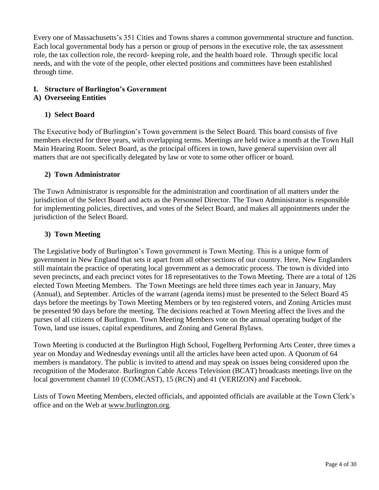Every one of Massachusetts's 351 Cities and Towns shares a common governmental structure and function. Each local governmental body has a person or group of persons in the executive role, the tax assessment role, the tax collection role, the record- keeping role, and the health board role. Through specific local needs, and with the vote of the people, other elected positions and committees have been established through time.

# **I. Structure of Burlington's Government**

# **A) Overseeing Entities**

# **1) Select Board**

The Executive body of Burlington's Town government is the Select Board. This board consists of five members elected for three years, with overlapping terms. Meetings are held twice a month at the Town Hall Main Hearing Room. Select Board, as the principal officers in town, have general supervision over all matters that are not specifically delegated by law or vote to some other officer or board.

# **2) Town Administrator**

The Town Administrator is responsible for the administration and coordination of all matters under the jurisdiction of the Select Board and acts as the Personnel Director. The Town Administrator is responsible for implementing policies, directives, and votes of the Select Board, and makes all appointments under the jurisdiction of the Select Board.

# **3) Town Meeting**

The Legislative body of Burlington's Town government is Town Meeting. This is a unique form of government in New England that sets it apart from all other sections of our country. Here, New Englanders still maintain the practice of operating local government as a democratic process. The town is divided into seven precincts, and each precinct votes for 18 representatives to the Town Meeting. There are a total of 126 elected Town Meeting Members. The Town Meetings are held three times each year in January, May (Annual), and September. Articles of the warrant (agenda items) must be presented to the Select Board 45 days before the meetings by Town Meeting Members or by ten registered voters, and Zoning Articles must be presented 90 days before the meeting. The decisions reached at Town Meeting affect the lives and the purses of all citizens of Burlington. Town Meeting Members vote on the annual operating budget of the Town, land use issues, capital expenditures, and Zoning and General Bylaws.

Town Meeting is conducted at the Burlington High School, Fogelberg Performing Arts Center, three times a year on Monday and Wednesday evenings until all the articles have been acted upon. A Quorum of 64 members is mandatory. The public is invited to attend and may speak on issues being considered upon the recognition of the Moderator. Burlington Cable Access Television (BCAT) broadcasts meetings live on the local government channel 10 (COMCAST), 15 (RCN) and 41 (VERIZON) and Facebook.

Lists of Town Meeting Members, elected officials, and appointed officials are available at the Town Clerk's office and on the Web at [www.burlington.org.](http://www.burlington.org/)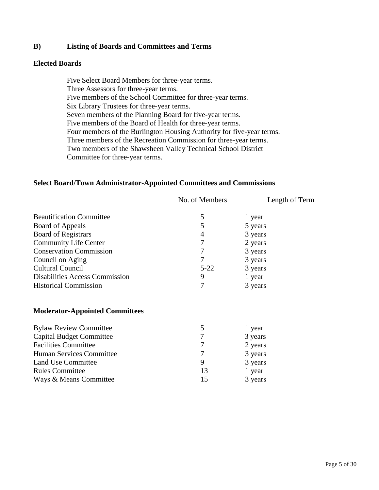# **B) Listing of Boards and Committees and Terms**

#### **Elected Boards**

Five Select Board Members for three-year terms. Three Assessors for three-year terms. Five members of the School Committee for three-year terms. Six Library Trustees for three-year terms. Seven members of the Planning Board for five-year terms. Five members of the Board of Health for three-year terms. Four members of the Burlington Housing Authority for five-year terms. Three members of the Recreation Commission for three-year terms. Two members of the Shawsheen Valley Technical School District Committee for three-year terms.

#### **Select Board/Town Administrator-Appointed Committees and Commissions**

|                                       | No. of Members | Length of Term |
|---------------------------------------|----------------|----------------|
| <b>Beautification Committee</b>       | 5              | 1 year         |
| Board of Appeals                      | 5              | 5 years        |
| <b>Board of Registrars</b>            | $\overline{4}$ | 3 years        |
| <b>Community Life Center</b>          |                | 2 years        |
| <b>Conservation Commission</b>        |                | 3 years        |
| Council on Aging                      |                | 3 years        |
| <b>Cultural Council</b>               | $5 - 22$       | 3 years        |
| <b>Disabilities Access Commission</b> | 9              | 1 year         |
| <b>Historical Commission</b>          |                | 3 years        |

#### **Moderator-Appointed Committees**

| <b>Bylaw Review Committee</b>   | 5  | 1 year  |
|---------------------------------|----|---------|
| <b>Capital Budget Committee</b> | 7  | 3 years |
| <b>Facilities Committee</b>     | 7  | 2 years |
| Human Services Committee        | 7  | 3 years |
| Land Use Committee              | 9  | 3 years |
| <b>Rules Committee</b>          | 13 | 1 year  |
| Ways & Means Committee          | 15 | 3 years |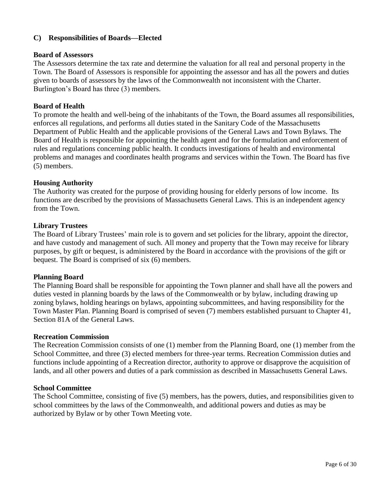# **C) Responsibilities of Boards—Elected**

#### **Board of Assessors**

The Assessors determine the tax rate and determine the valuation for all real and personal property in the Town. The Board of Assessors is responsible for appointing the assessor and has all the powers and duties given to boards of assessors by the laws of the Commonwealth not inconsistent with the Charter. Burlington's Board has three (3) members.

#### **Board of Health**

To promote the health and well-being of the inhabitants of the Town, the Board assumes all responsibilities, enforces all regulations, and performs all duties stated in the Sanitary Code of the Massachusetts Department of Public Health and the applicable provisions of the General Laws and Town Bylaws. The Board of Health is responsible for appointing the health agent and for the formulation and enforcement of rules and regulations concerning public health. It conducts investigations of health and environmental problems and manages and coordinates health programs and services within the Town. The Board has five (5) members.

#### **Housing Authority**

The Authority was created for the purpose of providing housing for elderly persons of low income. Its functions are described by the provisions of Massachusetts General Laws. This is an independent agency from the Town.

#### **Library Trustees**

The Board of Library Trustees' main role is to govern and set policies for the library, appoint the director, and have custody and management of such. All money and property that the Town may receive for library purposes, by gift or bequest, is administered by the Board in accordance with the provisions of the gift or bequest. The Board is comprised of six (6) members.

#### **Planning Board**

The Planning Board shall be responsible for appointing the Town planner and shall have all the powers and duties vested in planning boards by the laws of the Commonwealth or by bylaw, including drawing up zoning bylaws, holding hearings on bylaws, appointing subcommittees, and having responsibility for the Town Master Plan. Planning Board is comprised of seven (7) members established pursuant to Chapter 41, Section 81A of the General Laws.

#### **Recreation Commission**

The Recreation Commission consists of one (1) member from the Planning Board, one (1) member from the School Committee, and three (3) elected members for three-year terms. Recreation Commission duties and functions include appointing of a Recreation director, authority to approve or disapprove the acquisition of lands, and all other powers and duties of a park commission as described in Massachusetts General Laws.

#### **School Committee**

The School Committee, consisting of five (5) members, has the powers, duties, and responsibilities given to school committees by the laws of the Commonwealth, and additional powers and duties as may be authorized by Bylaw or by other Town Meeting vote.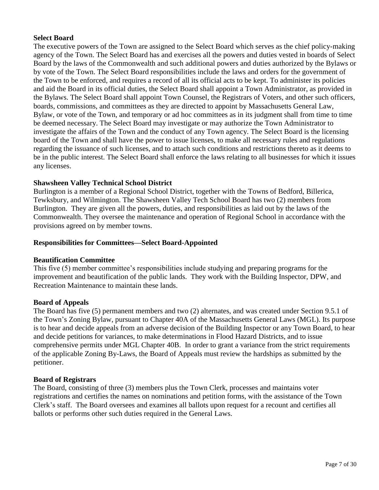# **Select Board**

The executive powers of the Town are assigned to the Select Board which serves as the chief policy-making agency of the Town. The Select Board has and exercises all the powers and duties vested in boards of Select Board by the laws of the Commonwealth and such additional powers and duties authorized by the Bylaws or by vote of the Town. The Select Board responsibilities include the laws and orders for the government of the Town to be enforced, and requires a record of all its official acts to be kept. To administer its policies and aid the Board in its official duties, the Select Board shall appoint a Town Administrator, as provided in the Bylaws. The Select Board shall appoint Town Counsel, the Registrars of Voters, and other such officers, boards, commissions, and committees as they are directed to appoint by Massachusetts General Law, Bylaw, or vote of the Town, and temporary or ad hoc committees as in its judgment shall from time to time be deemed necessary. The Select Board may investigate or may authorize the Town Administrator to investigate the affairs of the Town and the conduct of any Town agency. The Select Board is the licensing board of the Town and shall have the power to issue licenses, to make all necessary rules and regulations regarding the issuance of such licenses, and to attach such conditions and restrictions thereto as it deems to be in the public interest. The Select Board shall enforce the laws relating to all businesses for which it issues any licenses.

# **Shawsheen Valley Technical School District**

Burlington is a member of a Regional School District, together with the Towns of Bedford, Billerica, Tewksbury, and Wilmington. The Shawsheen Valley Tech School Board has two (2) members from Burlington. They are given all the powers, duties, and responsibilities as laid out by the laws of the Commonwealth. They oversee the maintenance and operation of Regional School in accordance with the provisions agreed on by member towns.

#### **Responsibilities for Committees—Select Board-Appointed**

#### **Beautification Committee**

This five (5) member committee's responsibilities include studying and preparing programs for the improvement and beautification of the public lands. They work with the Building Inspector, DPW, and Recreation Maintenance to maintain these lands.

#### **Board of Appeals**

The Board has five (5) permanent members and two (2) alternates, and was created under Section 9.5.1 of the Town's Zoning Bylaw, pursuant to Chapter 40A of the Massachusetts General Laws (MGL). Its purpose is to hear and decide appeals from an adverse decision of the Building Inspector or any Town Board, to hear and decide petitions for variances, to make determinations in Flood Hazard Districts, and to issue comprehensive permits under MGL Chapter 40B. In order to grant a variance from the strict requirements of the applicable Zoning By-Laws, the Board of Appeals must review the hardships as submitted by the petitioner.

#### **Board of Registrars**

The Board, consisting of three (3) members plus the Town Clerk, processes and maintains voter registrations and certifies the names on nominations and petition forms, with the assistance of the Town Clerk's staff. The Board oversees and examines all ballots upon request for a recount and certifies all ballots or performs other such duties required in the General Laws.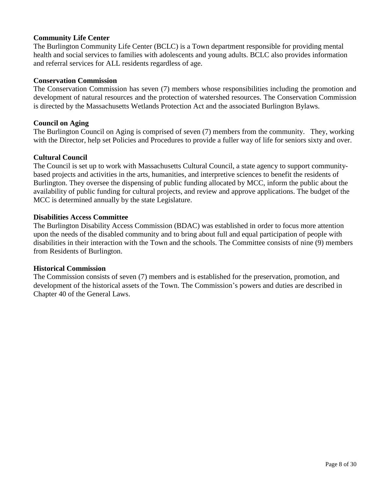# **Community Life Center**

The Burlington Community Life Center (BCLC) is a Town department responsible for providing mental health and social services to families with adolescents and young adults. BCLC also provides information and referral services for ALL residents regardless of age.

#### **Conservation Commission**

The Conservation Commission has seven (7) members whose responsibilities including the promotion and development of natural resources and the protection of watershed resources. The Conservation Commission is directed by the Massachusetts Wetlands Protection Act and the associated Burlington Bylaws.

#### **Council on Aging**

The Burlington Council on Aging is comprised of seven (7) members from the community. They, working with the Director, help set Policies and Procedures to provide a fuller way of life for seniors sixty and over.

#### **Cultural Council**

The Council is set up to work with Massachusetts Cultural Council, a state agency to support communitybased projects and activities in the arts, humanities, and interpretive sciences to benefit the residents of Burlington. They oversee the dispensing of public funding allocated by MCC, inform the public about the availability of public funding for cultural projects, and review and approve applications. The budget of the MCC is determined annually by the state Legislature.

#### **Disabilities Access Committee**

The Burlington Disability Access Commission (BDAC) was established in order to focus more attention upon the needs of the disabled community and to bring about full and equal participation of people with disabilities in their interaction with the Town and the schools. The Committee consists of nine (9) members from Residents of Burlington.

#### **Historical Commission**

The Commission consists of seven (7) members and is established for the preservation, promotion, and development of the historical assets of the Town. The Commission's powers and duties are described in Chapter 40 of the General Laws.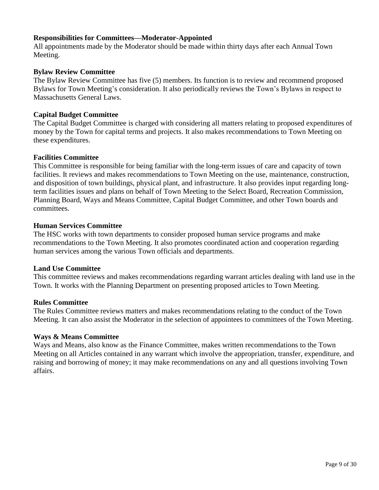#### **Responsibilities for Committees—Moderator-Appointed**

All appointments made by the Moderator should be made within thirty days after each Annual Town Meeting.

#### **Bylaw Review Committee**

The Bylaw Review Committee has five (5) members. Its function is to review and recommend proposed Bylaws for Town Meeting's consideration. It also periodically reviews the Town's Bylaws in respect to Massachusetts General Laws.

# **Capital Budget Committee**

The Capital Budget Committee is charged with considering all matters relating to proposed expenditures of money by the Town for capital terms and projects. It also makes recommendations to Town Meeting on these expenditures.

#### **Facilities Committee**

This Committee is responsible for being familiar with the long-term issues of care and capacity of town facilities. It reviews and makes recommendations to Town Meeting on the use, maintenance, construction, and disposition of town buildings, physical plant, and infrastructure. It also provides input regarding longterm facilities issues and plans on behalf of Town Meeting to the Select Board, Recreation Commission, Planning Board, Ways and Means Committee, Capital Budget Committee, and other Town boards and committees.

#### **Human Services Committee**

The HSC works with town departments to consider proposed human service programs and make recommendations to the Town Meeting. It also promotes coordinated action and cooperation regarding human services among the various Town officials and departments.

#### **Land Use Committee**

This committee reviews and makes recommendations regarding warrant articles dealing with land use in the Town. It works with the Planning Department on presenting proposed articles to Town Meeting.

#### **Rules Committee**

The Rules Committee reviews matters and makes recommendations relating to the conduct of the Town Meeting. It can also assist the Moderator in the selection of appointees to committees of the Town Meeting.

#### **Ways & Means Committee**

Ways and Means, also know as the Finance Committee, makes written recommendations to the Town Meeting on all Articles contained in any warrant which involve the appropriation, transfer, expenditure, and raising and borrowing of money; it may make recommendations on any and all questions involving Town affairs.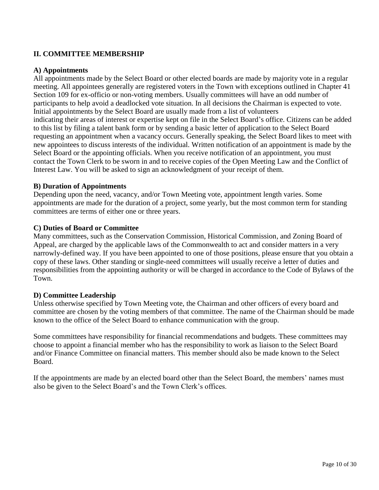# **II. COMMITTEE MEMBERSHIP**

#### **A) Appointments**

All appointments made by the Select Board or other elected boards are made by majority vote in a regular meeting. All appointees generally are registered voters in the Town with exceptions outlined in Chapter 41 Section 109 for ex-officio or non-voting members. Usually committees will have an odd number of participants to help avoid a deadlocked vote situation. In all decisions the Chairman is expected to vote. Initial appointments by the Select Board are usually made from a list of volunteers indicating their areas of interest or expertise kept on file in the Select Board's office. Citizens can be added to this list by filing a talent bank form or by sending a basic letter of application to the Select Board requesting an appointment when a vacancy occurs. Generally speaking, the Select Board likes to meet with new appointees to discuss interests of the individual. Written notification of an appointment is made by the Select Board or the appointing officials. When you receive notification of an appointment, you must contact the Town Clerk to be sworn in and to receive copies of the Open Meeting Law and the Conflict of Interest Law. You will be asked to sign an acknowledgment of your receipt of them.

#### **B) Duration of Appointments**

Depending upon the need, vacancy, and/or Town Meeting vote, appointment length varies. Some appointments are made for the duration of a project, some yearly, but the most common term for standing committees are terms of either one or three years.

#### **C) Duties of Board or Committee**

Many committees, such as the Conservation Commission, Historical Commission, and Zoning Board of Appeal, are charged by the applicable laws of the Commonwealth to act and consider matters in a very narrowly-defined way. If you have been appointed to one of those positions, please ensure that you obtain a copy of these laws. Other standing or single-need committees will usually receive a letter of duties and responsibilities from the appointing authority or will be charged in accordance to the Code of Bylaws of the Town.

#### **D) Committee Leadership**

Unless otherwise specified by Town Meeting vote, the Chairman and other officers of every board and committee are chosen by the voting members of that committee. The name of the Chairman should be made known to the office of the Select Board to enhance communication with the group.

Some committees have responsibility for financial recommendations and budgets. These committees may choose to appoint a financial member who has the responsibility to work as liaison to the Select Board and/or Finance Committee on financial matters. This member should also be made known to the Select Board.

If the appointments are made by an elected board other than the Select Board, the members' names must also be given to the Select Board's and the Town Clerk's offices.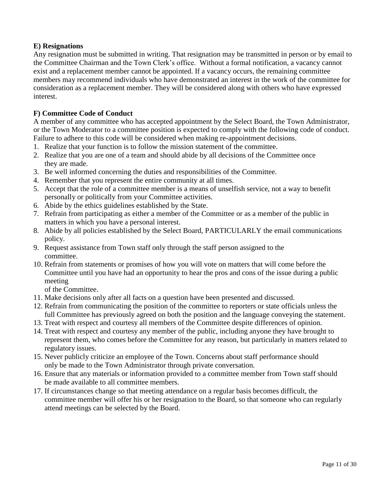# **E) Resignations**

Any resignation must be submitted in writing. That resignation may be transmitted in person or by email to the Committee Chairman and the Town Clerk's office. Without a formal notification, a vacancy cannot exist and a replacement member cannot be appointed. If a vacancy occurs, the remaining committee members may recommend individuals who have demonstrated an interest in the work of the committee for consideration as a replacement member. They will be considered along with others who have expressed interest.

# **F) Committee Code of Conduct**

A member of any committee who has accepted appointment by the Select Board, the Town Administrator, or the Town Moderator to a committee position is expected to comply with the following code of conduct. Failure to adhere to this code will be considered when making re-appointment decisions.

- 1. Realize that your function is to follow the mission statement of the committee.
- 2. Realize that you are one of a team and should abide by all decisions of the Committee once they are made.
- 3. Be well informed concerning the duties and responsibilities of the Committee.
- 4. Remember that you represent the entire community at all times.
- 5. Accept that the role of a committee member is a means of unselfish service, not a way to benefit personally or politically from your Committee activities.
- 6. Abide by the ethics guidelines established by the State.
- 7. Refrain from participating as either a member of the Committee or as a member of the public in matters in which you have a personal interest.
- 8. Abide by all policies established by the Select Board, PARTICULARLY the email communications policy.
- 9. Request assistance from Town staff only through the staff person assigned to the committee.
- 10. Refrain from statements or promises of how you will vote on matters that will come before the Committee until you have had an opportunity to hear the pros and cons of the issue during a public meeting

of the Committee.

- 11. Make decisions only after all facts on a question have been presented and discussed.
- 12. Refrain from communicating the position of the committee to reporters or state officials unless the full Committee has previously agreed on both the position and the language conveying the statement.
- 13. Treat with respect and courtesy all members of the Committee despite differences of opinion.
- 14. Treat with respect and courtesy any member of the public, including anyone they have brought to represent them, who comes before the Committee for any reason, but particularly in matters related to regulatory issues.
- 15. Never publicly criticize an employee of the Town. Concerns about staff performance should only be made to the Town Administrator through private conversation.
- 16. Ensure that any materials or information provided to a committee member from Town staff should be made available to all committee members.
- 17. If circumstances change so that meeting attendance on a regular basis becomes difficult, the committee member will offer his or her resignation to the Board, so that someone who can regularly attend meetings can be selected by the Board.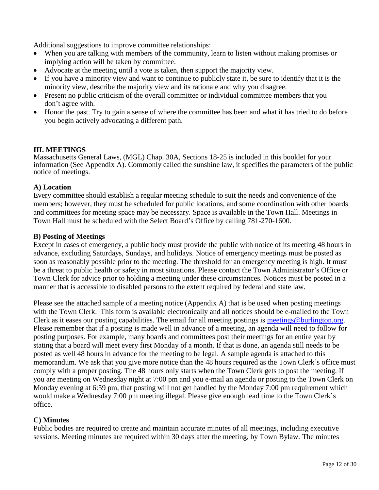Additional suggestions to improve committee relationships:

- When you are talking with members of the community, learn to listen without making promises or implying action will be taken by committee.
- Advocate at the meeting until a vote is taken, then support the majority view.
- If you have a minority view and want to continue to publicly state it, be sure to identify that it is the minority view, describe the majority view and its rationale and why you disagree.
- Present no public criticism of the overall committee or individual committee members that you don't agree with.
- Honor the past. Try to gain a sense of where the committee has been and what it has tried to do before you begin actively advocating a different path.

# **III. MEETINGS**

Massachusetts General Laws, (MGL) Chap. 30A, Sections 18-25 is included in this booklet for your information (See Appendix A). Commonly called the sunshine law, it specifies the parameters of the public notice of meetings.

#### **A) Location**

Every committee should establish a regular meeting schedule to suit the needs and convenience of the members; however, they must be scheduled for public locations, and some coordination with other boards and committees for meeting space may be necessary. Space is available in the Town Hall. Meetings in Town Hall must be scheduled with the Select Board's Office by calling 781-270-1600.

#### **B) Posting of Meetings**

Except in cases of emergency, a public body must provide the public with notice of its meeting 48 hours in advance, excluding Saturdays, Sundays, and holidays. Notice of emergency meetings must be posted as soon as reasonably possible prior to the meeting. The threshold for an emergency meeting is high. It must be a threat to public health or safety in most situations. Please contact the Town Administrator's Office or Town Clerk for advice prior to holding a meeting under these circumstances. Notices must be posted in a manner that is accessible to disabled persons to the extent required by federal and state law.

Please see the attached sample of a meeting notice (Appendix A) that is be used when posting meetings with the Town Clerk. This form is available electronically and all notices should be e-mailed to the Town Clerk as it eases our posting capabilities. The email for all meeting postings is [meetings@burlington.org.](mailto:meetings@burlmass.org) Please remember that if a posting is made well in advance of a meeting, an agenda will need to follow for posting purposes. For example, many boards and committees post their meetings for an entire year by stating that a board will meet every first Monday of a month. If that is done, an agenda still needs to be posted as well 48 hours in advance for the meeting to be legal. A sample agenda is attached to this memorandum. We ask that you give more notice than the 48 hours required as the Town Clerk's office must comply with a proper posting. The 48 hours only starts when the Town Clerk gets to post the meeting. If you are meeting on Wednesday night at 7:00 pm and you e-mail an agenda or posting to the Town Clerk on Monday evening at 6:59 pm, that posting will not get handled by the Monday 7:00 pm requirement which would make a Wednesday 7:00 pm meeting illegal. Please give enough lead time to the Town Clerk's office.

#### **C) Minutes**

Public bodies are required to create and maintain accurate minutes of all meetings, including executive sessions. Meeting minutes are required within 30 days after the meeting, by Town Bylaw. The minutes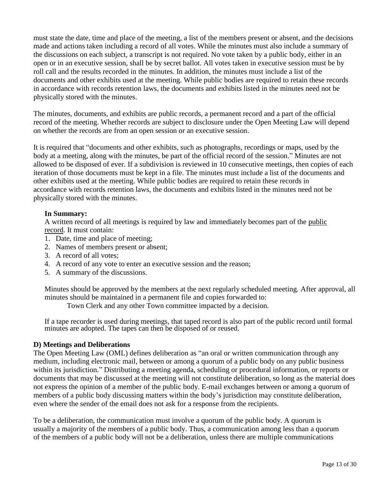must state the date, time and place of the meeting, a list of the members present or absent, and the decisions made and actions taken including a record of all votes. While the minutes must also include a summary of the discussions on each subject, a transcript is not required. No vote taken by a public body, either in an open or in an executive session, shall be by secret ballot. All votes taken in executive session must be by roll call and the results recorded in the minutes. In addition, the minutes must include a list of the documents and other exhibits used at the meeting. While public bodies are required to retain these records in accordance with records retention laws, the documents and exhibits listed in the minutes need not be physically stored with the minutes.

The minutes, documents, and exhibits are public records, a permanent record and a part of the official record of the meeting. Whether records are subject to disclosure under the Open Meeting Law will depend on whether the records are from an open session or an executive session.

It is required that "documents and other exhibits, such as photographs, recordings or maps, used by the body at a meeting, along with the minutes, be part of the official record of the session." Minutes are not allowed to be disposed of ever. If a subdivision is reviewed in 10 consecutive meetings, then copies of each iteration of those documents must be kept in a file. The minutes must include a list of the documents and other exhibits used at the meeting. While public bodies are required to retain these records in accordance with records retention laws, the documents and exhibits listed in the minutes need not be physically stored with the minutes.

# **In Summary:**

A written record of all meetings is required by law and immediately becomes part of the public record. It must contain:

- 1. Date, time and place of meeting;
- 2. Names of members present or absent;
- 3. A record of all votes;
- 4. A record of any vote to enter an executive session and the reason;
- 5. A summary of the discussions.

Minutes should be approved by the members at the next regularly scheduled meeting. After approval, all minutes should be maintained in a permanent file and copies forwarded to:

Town Clerk and any other Town committee impacted by a decision.

If a tape recorder is used during meetings, that taped record is also part of the public record until formal minutes are adopted. The tapes can then be disposed of or reused.

# **D) Meetings and Deliberations**

The Open Meeting Law (OML) defines deliberation as "an oral or written communication through any medium, including electronic mail, between or among a quorum of a public body on any public business within its jurisdiction." Distributing a meeting agenda, scheduling or procedural information, or reports or documents that may be discussed at the meeting will not constitute deliberation, so long as the material does not express the opinion of a member of the public body. E-mail exchanges between or among a quorum of members of a public body discussing matters within the body's jurisdiction may constitute deliberation, even where the sender of the email does not ask for a response from the recipients.

To be a deliberation, the communication must involve a quorum of the public body. A quorum is usually a majority of the members of a public body. Thus, a communication among less than a quorum of the members of a public body will not be a deliberation, unless there are multiple communications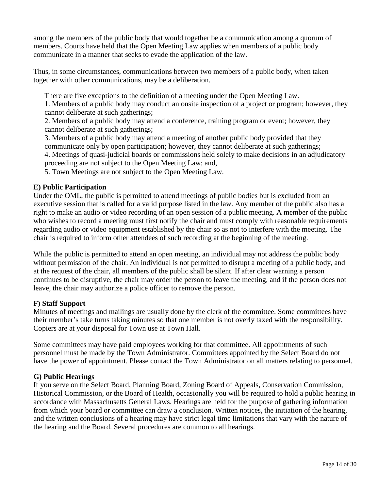among the members of the public body that would together be a communication among a quorum of members. Courts have held that the Open Meeting Law applies when members of a public body communicate in a manner that seeks to evade the application of the law.

Thus, in some circumstances, communications between two members of a public body, when taken together with other communications, may be a deliberation.

There are five exceptions to the definition of a meeting under the Open Meeting Law.

1. Members of a public body may conduct an onsite inspection of a project or program; however, they cannot deliberate at such gatherings;

2. Members of a public body may attend a conference, training program or event; however, they cannot deliberate at such gatherings;

3. Members of a public body may attend a meeting of another public body provided that they communicate only by open participation; however, they cannot deliberate at such gatherings;

4. Meetings of quasi-judicial boards or commissions held solely to make decisions in an adjudicatory proceeding are not subject to the Open Meeting Law; and,

5. Town Meetings are not subject to the Open Meeting Law.

# **E) Public Participation**

Under the OML, the public is permitted to attend meetings of public bodies but is excluded from an executive session that is called for a valid purpose listed in the law. Any member of the public also has a right to make an audio or video recording of an open session of a public meeting. A member of the public who wishes to record a meeting must first notify the chair and must comply with reasonable requirements regarding audio or video equipment established by the chair so as not to interfere with the meeting. The chair is required to inform other attendees of such recording at the beginning of the meeting.

While the public is permitted to attend an open meeting, an individual may not address the public body without permission of the chair. An individual is not permitted to disrupt a meeting of a public body, and at the request of the chair, all members of the public shall be silent. If after clear warning a person continues to be disruptive, the chair may order the person to leave the meeting, and if the person does not leave, the chair may authorize a police officer to remove the person.

#### **F) Staff Support**

Minutes of meetings and mailings are usually done by the clerk of the committee. Some committees have their member's take turns taking minutes so that one member is not overly taxed with the responsibility. Copiers are at your disposal for Town use at Town Hall.

Some committees may have paid employees working for that committee. All appointments of such personnel must be made by the Town Administrator. Committees appointed by the Select Board do not have the power of appointment. Please contact the Town Administrator on all matters relating to personnel.

#### **G) Public Hearings**

If you serve on the Select Board, Planning Board, Zoning Board of Appeals, Conservation Commission, Historical Commission, or the Board of Health, occasionally you will be required to hold a public hearing in accordance with Massachusetts General Laws. Hearings are held for the purpose of gathering information from which your board or committee can draw a conclusion. Written notices, the initiation of the hearing, and the written conclusions of a hearing may have strict legal time limitations that vary with the nature of the hearing and the Board. Several procedures are common to all hearings.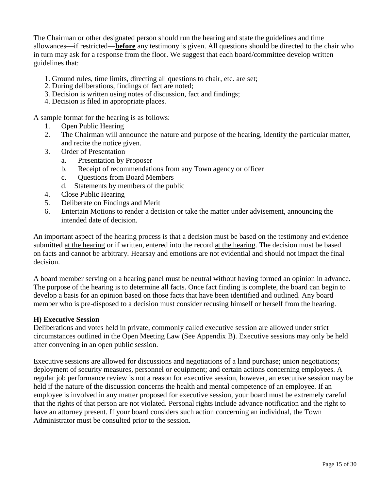The Chairman or other designated person should run the hearing and state the guidelines and time allowances—if restricted—**before** any testimony is given. All questions should be directed to the chair who in turn may ask for a response from the floor. We suggest that each board/committee develop written guidelines that:

- 1. Ground rules, time limits, directing all questions to chair, etc. are set;
- 2. During deliberations, findings of fact are noted;
- 3. Decision is written using notes of discussion, fact and findings;
- 4. Decision is filed in appropriate places.

A sample format for the hearing is as follows:

- 1. Open Public Hearing
- 2. The Chairman will announce the nature and purpose of the hearing, identify the particular matter, and recite the notice given.
- 3. Order of Presentation
	- a. Presentation by Proposer
	- b. Receipt of recommendations from any Town agency or officer
	- c. Questions from Board Members
	- d. Statements by members of the public
- 4. Close Public Hearing
- 5. Deliberate on Findings and Merit
- 6. Entertain Motions to render a decision or take the matter under advisement, announcing the intended date of decision.

An important aspect of the hearing process is that a decision must be based on the testimony and evidence submitted at the hearing or if written, entered into the record at the hearing. The decision must be based on facts and cannot be arbitrary. Hearsay and emotions are not evidential and should not impact the final decision.

A board member serving on a hearing panel must be neutral without having formed an opinion in advance. The purpose of the hearing is to determine all facts. Once fact finding is complete, the board can begin to develop a basis for an opinion based on those facts that have been identified and outlined. Any board member who is pre-disposed to a decision must consider recusing himself or herself from the hearing.

#### **H) Executive Session**

Deliberations and votes held in private, commonly called executive session are allowed under strict circumstances outlined in the Open Meeting Law (See Appendix B). Executive sessions may only be held after convening in an open public session.

Executive sessions are allowed for discussions and negotiations of a land purchase; union negotiations; deployment of security measures, personnel or equipment; and certain actions concerning employees. A regular job performance review is not a reason for executive session, however, an executive session may be held if the nature of the discussion concerns the health and mental competence of an employee. If an employee is involved in any matter proposed for executive session, your board must be extremely careful that the rights of that person are not violated. Personal rights include advance notification and the right to have an attorney present. If your board considers such action concerning an individual, the Town Administrator must be consulted prior to the session.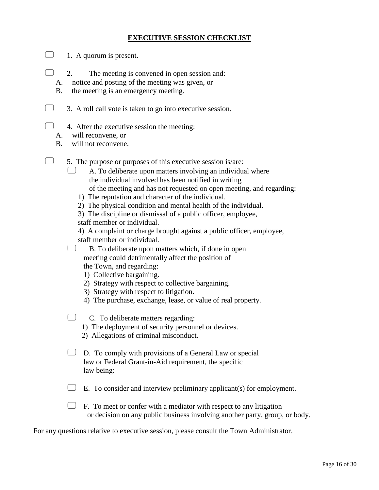# **EXECUTIVE SESSION CHECKLIST**

- $\Box$  1. A quorum is present.
	- 2. The meeting is convened in open session and:
	- A. notice and posting of the meeting was given, or
	- B. the meeting is an emergency meeting.
- $\Box$  3. A roll call vote is taken to go into executive session.
- $\Box$  4. After the executive session the meeting:
	- A. will reconvene, or
	- B. will not reconvene.
- $\Box$  5. The purpose or purposes of this executive session is/are:
	- $\Box$  A. To deliberate upon matters involving an individual where the individual involved has been notified in writing of the meeting and has not requested on open meeting, and regarding:
		- 1) The reputation and character of the individual.
		- 2) The physical condition and mental health of the individual.
		- 3) The discipline or dismissal of a public officer, employee,
		- staff member or individual.
		- 4) A complaint or charge brought against a public officer, employee, staff member or individual.
	- $\Box$  B. To deliberate upon matters which, if done in open meeting could detrimentally affect the position of
		- the Town, and regarding:
		- 1) Collective bargaining.
		- 2) Strategy with respect to collective bargaining.
		- 3) Strategy with respect to litigation.
		- 4) The purchase, exchange, lease, or value of real property.
	- $\Box$  C. To deliberate matters regarding:
		- 1) The deployment of security personnel or devices.
		- 2) Allegations of criminal misconduct.
	- $\Box$  D. To comply with provisions of a General Law or special law or Federal Grant-in-Aid requirement, the specific law being:
	- $\Box$  E. To consider and interview preliminary applicant(s) for employment.
	- $\Box$  F. To meet or confer with a mediator with respect to any litigation or decision on any public business involving another party, group, or body.

For any questions relative to executive session, please consult the Town Administrator.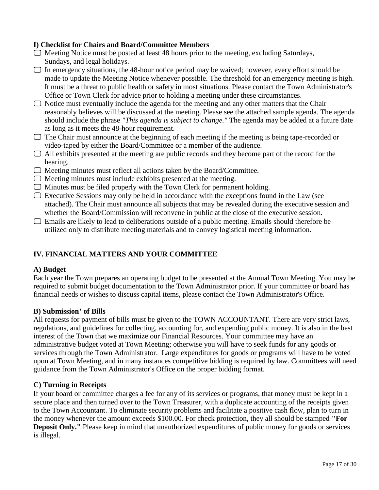# **I) Checklist for Chairs and Board/Committee Members**

- $\Box$  Meeting Notice must be posted at least 48 hours prior to the meeting, excluding Saturdays, Sundays, and legal holidays.
- $\Box$  In emergency situations, the 48-hour notice period may be waived; however, every effort should be made to update the Meeting Notice whenever possible. The threshold for an emergency meeting is high. It must be a threat to public health or safety in most situations. Please contact the Town Administrator's Office or Town Clerk for advice prior to holding a meeting under these circumstances.
- $\Box$  Notice must eventually include the agenda for the meeting and any other matters that the Chair reasonably believes will be discussed at the meeting. Please see the attached sample agenda. The agenda should include the phrase *"This agenda is subject to change."* The agenda may be added at a future date as long as it meets the 48-hour requirement.
- $\Box$  The Chair must announce at the beginning of each meeting if the meeting is being tape-recorded or video-taped by either the Board/Committee or a member of the audience.
- $\Box$  All exhibits presented at the meeting are public records and they become part of the record for the hearing.
- $\Box$  Meeting minutes must reflect all actions taken by the Board/Committee.
- $\Box$  Meeting minutes must include exhibits presented at the meeting.
- $\Box$  Minutes must be filed properly with the Town Clerk for permanent holding.
- $\Box$  Executive Sessions may only be held in accordance with the exceptions found in the Law (see attached). The Chair must announce all subjects that may be revealed during the executive session and whether the Board/Commission will reconvene in public at the close of the executive session.
- $\Box$  Emails are likely to lead to deliberations outside of a public meeting. Emails should therefore be utilized only to distribute meeting materials and to convey logistical meeting information.

# **IV. FINANCIAL MATTERS AND YOUR COMMITTEE**

#### **A) Budget**

Each year the Town prepares an operating budget to be presented at the Annual Town Meeting. You may be required to submit budget documentation to the Town Administrator prior. If your committee or board has financial needs or wishes to discuss capital items, please contact the Town Administrator's Office.

# **B) Submission' of Bills**

All requests for payment of bills must be given to the TOWN ACCOUNTANT. There are very strict laws, regulations, and guidelines for collecting, accounting for, and expending public money. It is also in the best interest of the Town that we maximize our Financial Resources. Your committee may have an administrative budget voted at Town Meeting; otherwise you will have to seek funds for any goods or services through the Town Administrator. Large expenditures for goods or programs will have to be voted upon at Town Meeting, and in many instances competitive bidding is required by law. Committees will need guidance from the Town Administrator's Office on the proper bidding format.

# **C) Turning in Receipts**

If your board or committee charges a fee for any of its services or programs, that money must be kept in a secure place and then turned over to the Town Treasurer, with a duplicate accounting of the receipts given to the Town Accountant. To eliminate security problems and facilitate a positive cash flow, plan to turn in the money whenever the amount exceeds \$100.00. For check protection, they all should be stamped **"For Deposit Only."** Please keep in mind that unauthorized expenditures of public money for goods or services is illegal.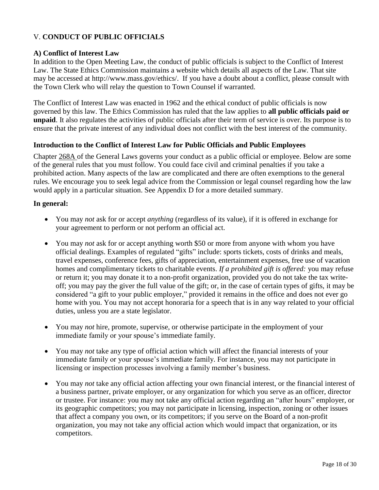# V. **CONDUCT OF PUBLIC OFFICIALS**

#### **A) Conflict of Interest Law**

In addition to the Open Meeting Law, the conduct of public officials is subject to the Conflict of Interest Law. The State Ethics Commission maintains a website which details all aspects of the Law. That site may be accessed at [http://www.mass.gov/ethics/.](http://www.mass.gov/ethics/) If you have a doubt about a conflict, please consult with the Town Clerk who will relay the question to Town Counsel if warranted.

The Conflict of Interest Law was enacted in 1962 and the ethical conduct of public officials is now governed by this law. The Ethics Commission has ruled that the law applies to **all public officials paid or unpaid**. It also regulates the activities of public officials after their term of service is over. Its purpose is to ensure that the private interest of any individual does not conflict with the best interest of the community.

# **Introduction to the Conflict of Interest Law for Public Officials and Public Employees**

Chapter 268A of the General Laws governs your conduct as a public official or employee. Below are some of the general rules that you must follow. You could face civil and criminal penalties if you take a prohibited action. Many aspects of the law are complicated and there are often exemptions to the general rules. We encourage you to seek legal advice from the Commission or legal counsel regarding how the law would apply in a particular situation. See Appendix D for a more detailed summary.

#### **In general:**

- You may *not* ask for or accept *anything* (regardless of its value), if it is offered in exchange for your agreement to perform or not perform an official act.
- You may *not* ask for or accept anything worth \$50 or more from anyone with whom you have official dealings. Examples of regulated "gifts" include: sports tickets, costs of drinks and meals, travel expenses, conference fees, gifts of appreciation, entertainment expenses, free use of vacation homes and complimentary tickets to charitable events. *If a prohibited gift is offered:* you may refuse or return it; you may donate it to a non-profit organization, provided you do not take the tax writeoff; you may pay the giver the full value of the gift; or, in the case of certain types of gifts, it may be considered "a gift to your public employer," provided it remains in the office and does not ever go home with you. You may not accept honoraria for a speech that is in any way related to your official duties, unless you are a state legislator.
- You may *not* hire, promote, supervise, or otherwise participate in the employment of your immediate family or your spouse's immediate family.
- You may *not* take any type of official action which will affect the financial interests of your immediate family or your spouse's immediate family. For instance, you may not participate in licensing or inspection processes involving a family member's business.
- You may *not* take any official action affecting your own financial interest, or the financial interest of a business partner, private employer, or any organization for which you serve as an officer, director or trustee. For instance: you may not take any official action regarding an "after hours" employer, or its geographic competitors; you may not participate in licensing, inspection, zoning or other issues that affect a company you own, or its competitors; if you serve on the Board of a non-profit organization, you may not take any official action which would impact that organization, or its competitors.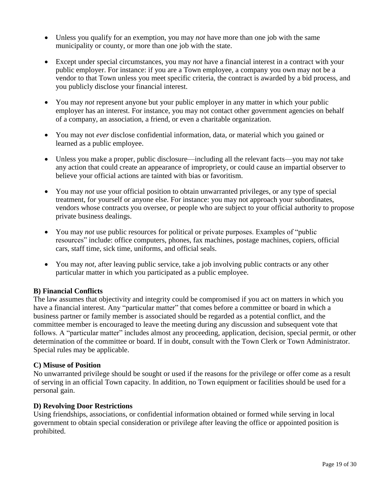- Unless you qualify for an exemption, you may *not* have more than one job with the same municipality or county, or more than one job with the state.
- Except under special circumstances, you may *not* have a financial interest in a contract with your public employer. For instance: if you are a Town employee, a company you own may not be a vendor to that Town unless you meet specific criteria, the contract is awarded by a bid process, and you publicly disclose your financial interest.
- You may *not* represent anyone but your public employer in any matter in which your public employer has an interest. For instance, you may not contact other government agencies on behalf of a company, an association, a friend, or even a charitable organization.
- You may not *ever* disclose confidential information, data, or material which you gained or learned as a public employee.
- Unless you make a proper, public disclosure—including all the relevant facts—you may *not* take any action that could create an appearance of impropriety, or could cause an impartial observer to believe your official actions are tainted with bias or favoritism.
- You may *not* use your official position to obtain unwarranted privileges, or any type of special treatment, for yourself or anyone else. For instance: you may not approach your subordinates, vendors whose contracts you oversee, or people who are subject to your official authority to propose private business dealings.
- You may *not* use public resources for political or private purposes. Examples of "public resources" include: office computers, phones, fax machines, postage machines, copiers, official cars, staff time, sick time, uniforms, and official seals.
- You may *not,* after leaving public service, take a job involving public contracts or any other particular matter in which you participated as a public employee.

# **B) Financial Conflicts**

The law assumes that objectivity and integrity could be compromised if you act on matters in which you have a financial interest. Any "particular matter" that comes before a committee or board in which a business partner or family member is associated should be regarded as a potential conflict, and the committee member is encouraged to leave the meeting during any discussion and subsequent vote that follows. A "particular matter" includes almost any proceeding, application, decision, special permit, or other determination of the committee or board. If in doubt, consult with the Town Clerk or Town Administrator. Special rules may be applicable.

#### **C) Misuse of Position**

No unwarranted privilege should be sought or used if the reasons for the privilege or offer come as a result of serving in an official Town capacity. In addition, no Town equipment or facilities should be used for a personal gain.

#### **D) Revolving Door Restrictions**

Using friendships, associations, or confidential information obtained or formed while serving in local government to obtain special consideration or privilege after leaving the office or appointed position is prohibited.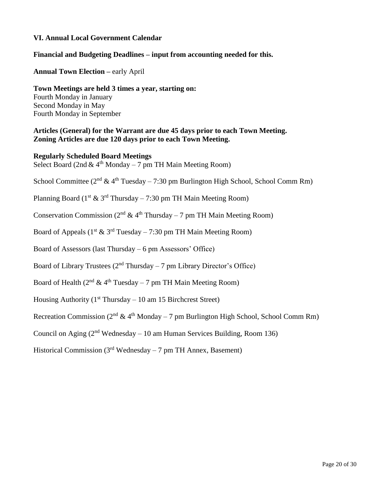#### **VI. Annual Local Government Calendar**

#### **Financial and Budgeting Deadlines – input from accounting needed for this.**

**Annual Town Election –** early April

**Town Meetings are held 3 times a year, starting on:** Fourth Monday in January Second Monday in May Fourth Monday in September

#### **Articles (General) for the Warrant are due 45 days prior to each Town Meeting. Zoning Articles are due 120 days prior to each Town Meeting.**

#### **Regularly Scheduled Board Meetings**

Select Board (2nd  $& 4<sup>th</sup>$  Monday – 7 pm TH Main Meeting Room)

School Committee ( $2<sup>nd</sup>$  &  $4<sup>th</sup>$  Tuesday – 7:30 pm Burlington High School, School Comm Rm)

Planning Board ( $1<sup>st</sup> \& 3<sup>rd</sup> Thursday – 7:30 pm TH Main Meeting Room)$ 

Conservation Commission ( $2<sup>nd</sup>$  &  $4<sup>th</sup>$  Thursday – 7 pm TH Main Meeting Room)

Board of Appeals ( $1<sup>st</sup> \& 3<sup>rd</sup> Tuesday - 7:30 pm TH Main Meeting Room)$ )

Board of Assessors (last Thursday – 6 pm Assessors' Office)

Board of Library Trustees ( $2<sup>nd</sup> Thursday – 7 pm Library Director's Office$ )

Board of Health ( $2<sup>nd</sup>$  &  $4<sup>th</sup>$  Tuesday – 7 pm TH Main Meeting Room)

Housing Authority ( $1<sup>st</sup> Thursday – 10$  am 15 Birchcrest Street)

Recreation Commission ( $2<sup>nd</sup>$  &  $4<sup>th</sup>$  Monday – 7 pm Burlington High School, School Comm Rm)

Council on Aging  $(2^{nd}$  Wednesday – 10 am Human Services Building, Room 136)

Historical Commission ( $3<sup>rd</sup>$  Wednesday – 7 pm TH Annex, Basement)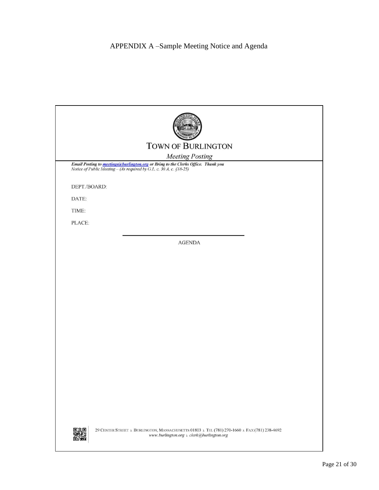# APPENDIX A –Sample Meeting Notice and Agenda

|              | <b>TOWN OF BURLINGTON</b>                                                                                                                                       |  |  |  |
|--------------|-----------------------------------------------------------------------------------------------------------------------------------------------------------------|--|--|--|
|              |                                                                                                                                                                 |  |  |  |
|              | <b>Meeting Posting</b>                                                                                                                                          |  |  |  |
|              | Email Posting to <b>meetings@burlington.org</b> or Bring to the Clerks Office. Thank you<br>Notice of Public Meeting - (As required by G.L. c. 30 A, c. §18-25) |  |  |  |
| DEPT./BOARD: |                                                                                                                                                                 |  |  |  |
| DATE:        |                                                                                                                                                                 |  |  |  |
| TIME:        |                                                                                                                                                                 |  |  |  |
| PLACE:       |                                                                                                                                                                 |  |  |  |
|              |                                                                                                                                                                 |  |  |  |
|              | <b>AGENDA</b>                                                                                                                                                   |  |  |  |
|              |                                                                                                                                                                 |  |  |  |
|              |                                                                                                                                                                 |  |  |  |
|              |                                                                                                                                                                 |  |  |  |
|              |                                                                                                                                                                 |  |  |  |
|              |                                                                                                                                                                 |  |  |  |
|              |                                                                                                                                                                 |  |  |  |
|              |                                                                                                                                                                 |  |  |  |
|              |                                                                                                                                                                 |  |  |  |
|              |                                                                                                                                                                 |  |  |  |
|              |                                                                                                                                                                 |  |  |  |
|              |                                                                                                                                                                 |  |  |  |
|              |                                                                                                                                                                 |  |  |  |
|              |                                                                                                                                                                 |  |  |  |
|              |                                                                                                                                                                 |  |  |  |
|              |                                                                                                                                                                 |  |  |  |
|              |                                                                                                                                                                 |  |  |  |
|              | 29 CENTER STREET » BURLINGTON, MASSACHUSETTS 01803 » TEL (781) 270-1660 » FAX (781) 238-4692<br>www.burlington.org $\lambda$ clerk@burlington.org               |  |  |  |

I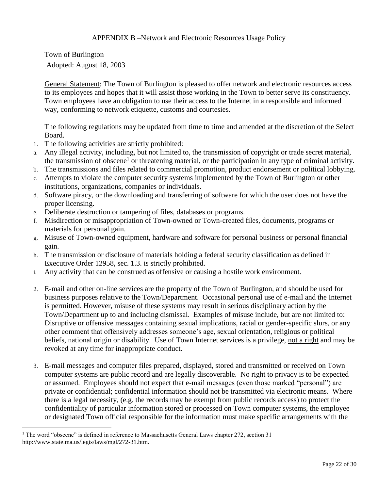Town of Burlington Adopted: August 18, 2003

General Statement: The Town of Burlington is pleased to offer network and electronic resources access to its employees and hopes that it will assist those working in the Town to better serve its constituency. Town employees have an obligation to use their access to the Internet in a responsible and informed way, conforming to network etiquette, customs and courtesies.

The following regulations may be updated from time to time and amended at the discretion of the Select Board.

- 1. The following activities are strictly prohibited:
- a. Any illegal activity, including, but not limited to, the transmission of copyright or trade secret material, the transmission of obscene<sup>1</sup> or threatening material, or the participation in any type of criminal activity.
- b. The transmissions and files related to commercial promotion, product endorsement or political lobbying.
- c. Attempts to violate the computer security systems implemented by the Town of Burlington or other institutions, organizations, companies or individuals.
- d. Software piracy, or the downloading and transferring of software for which the user does not have the proper licensing.
- e. Deliberate destruction or tampering of files, databases or programs.
- f. Misdirection or misappropriation of Town-owned or Town-created files, documents, programs or materials for personal gain.
- g. Misuse of Town-owned equipment, hardware and software for personal business or personal financial gain.
- h. The transmission or disclosure of materials holding a federal security classification as defined in Executive Order 12958, sec. 1.3. is strictly prohibited.
- i. Any activity that can be construed as offensive or causing a hostile work environment.
- 2. E-mail and other on-line services are the property of the Town of Burlington, and should be used for business purposes relative to the Town/Department. Occasional personal use of e-mail and the Internet is permitted. However, misuse of these systems may result in serious disciplinary action by the Town/Department up to and including dismissal. Examples of misuse include, but are not limited to: Disruptive or offensive messages containing sexual implications, racial or gender-specific slurs, or any other comment that offensively addresses someone's age, sexual orientation, religious or political beliefs, national origin or disability. Use of Town Internet services is a privilege, not a right and may be revoked at any time for inappropriate conduct.
- 3. E-mail messages and computer files prepared, displayed, stored and transmitted or received on Town computer systems are public record and are legally discoverable. No right to privacy is to be expected or assumed. Employees should not expect that e-mail messages (even those marked "personal") are private or confidential; confidential information should not be transmitted via electronic means. Where there is a legal necessity, (e.g. the records may be exempt from public records access) to protect the confidentiality of particular information stored or processed on Town computer systems, the employee or designated Town official responsible for the information must make specific arrangements with the

 $\overline{a}$ 

<sup>&</sup>lt;sup>1</sup> The word "obscene" is defined in reference to Massachusetts General Laws chapter 272, section 31 http://www.state.ma.us/legis/laws/mgl/272-31.htm.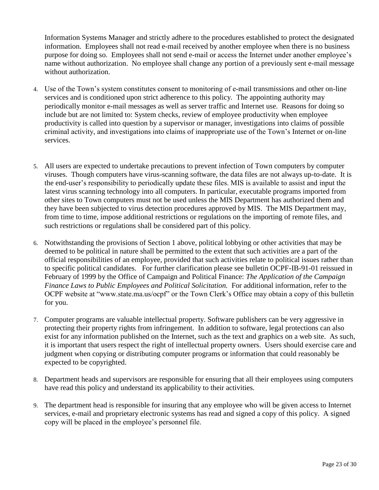Information Systems Manager and strictly adhere to the procedures established to protect the designated information. Employees shall not read e-mail received by another employee when there is no business purpose for doing so. Employees shall not send e-mail or access the Internet under another employee's name without authorization. No employee shall change any portion of a previously sent e-mail message without authorization.

- 4. Use of the Town's system constitutes consent to monitoring of e-mail transmissions and other on-line services and is conditioned upon strict adherence to this policy. The appointing authority may periodically monitor e-mail messages as well as server traffic and Internet use. Reasons for doing so include but are not limited to: System checks, review of employee productivity when employee productivity is called into question by a supervisor or manager, investigations into claims of possible criminal activity, and investigations into claims of inappropriate use of the Town's Internet or on-line services.
- 5. All users are expected to undertake precautions to prevent infection of Town computers by computer viruses. Though computers have virus-scanning software, the data files are not always up-to-date. It is the end-user's responsibility to periodically update these files. MIS is available to assist and input the latest virus scanning technology into all computers. In particular, executable programs imported from other sites to Town computers must not be used unless the MIS Department has authorized them and they have been subjected to virus detection procedures approved by MIS. The MIS Department may, from time to time, impose additional restrictions or regulations on the importing of remote files, and such restrictions or regulations shall be considered part of this policy.
- 6. Notwithstanding the provisions of Section 1 above, political lobbying or other activities that may be deemed to be political in nature shall be permitted to the extent that such activities are a part of the official responsibilities of an employee, provided that such activities relate to political issues rather than to specific political candidates. For further clarification please see bulletin OCPF-IB-91-01 reissued in February of 1999 by the Office of Campaign and Political Finance: *The Application of the Campaign Finance Laws to Public Employees and Political Solicitation.* For additional information, refer to the OCPF website at "www.state.ma.us/ocpf" or the Town Clerk's Office may obtain a copy of this bulletin for you.
- 7. Computer programs are valuable intellectual property. Software publishers can be very aggressive in protecting their property rights from infringement. In addition to software, legal protections can also exist for any information published on the Internet, such as the text and graphics on a web site. As such, it is important that users respect the right of intellectual property owners. Users should exercise care and judgment when copying or distributing computer programs or information that could reasonably be expected to be copyrighted.
- 8. Department heads and supervisors are responsible for ensuring that all their employees using computers have read this policy and understand its applicability to their activities.
- 9. The department head is responsible for insuring that any employee who will be given access to Internet services, e-mail and proprietary electronic systems has read and signed a copy of this policy. A signed copy will be placed in the employee's personnel file.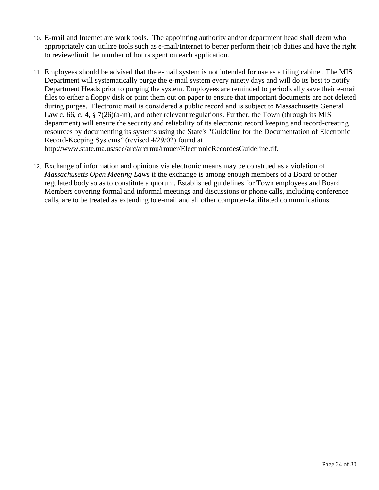- 10. E-mail and Internet are work tools. The appointing authority and/or department head shall deem who appropriately can utilize tools such as e-mail/Internet to better perform their job duties and have the right to review/limit the number of hours spent on each application.
- 11. Employees should be advised that the e-mail system is not intended for use as a filing cabinet. The MIS Department will systematically purge the e-mail system every ninety days and will do its best to notify Department Heads prior to purging the system. Employees are reminded to periodically save their e-mail files to either a floppy disk or print them out on paper to ensure that important documents are not deleted during purges. Electronic mail is considered a public record and is subject to Massachusetts General Law c. 66, c. 4, § 7(26)(a-m), and other relevant regulations. Further, the Town (through its MIS department) will ensure the security and reliability of its electronic record keeping and record-creating resources by documenting its systems using the State's "Guideline for the Documentation of Electronic Record-Keeping Systems" (revised 4/29/02) found at http://www.state.ma.us/sec/arc/arcrmu/rmuer/ElectronicRecordesGuideline.tif.
- 12. Exchange of information and opinions via electronic means may be construed as a violation of *Massachusetts Open Meeting Laws* if the exchange is among enough members of a Board or other regulated body so as to constitute a quorum. Established guidelines for Town employees and Board Members covering formal and informal meetings and discussions or phone calls, including conference calls, are to be treated as extending to e-mail and all other computer-facilitated communications.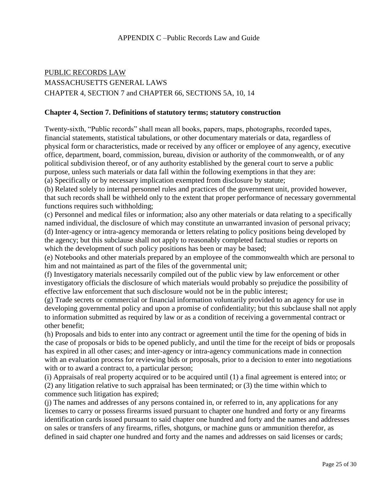#### APPENDIX C –Public Records Law and Guide

# PUBLIC RECORDS LAW MASSACHUSETTS GENERAL LAWS CHAPTER 4, SECTION 7 and CHAPTER 66, SECTIONS 5A, 10, 14

#### **Chapter 4, Section 7. Definitions of statutory terms; statutory construction**

Twenty-sixth, "Public records" shall mean all books, papers, maps, photographs, recorded tapes, financial statements, statistical tabulations, or other documentary materials or data, regardless of physical form or characteristics, made or received by any officer or employee of any agency, executive office, department, board, commission, bureau, division or authority of the commonwealth, or of any political subdivision thereof, or of any authority established by the general court to serve a public purpose, unless such materials or data fall within the following exemptions in that they are: (a) Specifically or by necessary implication exempted from disclosure by statute;

(b) Related solely to internal personnel rules and practices of the government unit, provided however, that such records shall be withheld only to the extent that proper performance of necessary governmental functions requires such withholding;

(c) Personnel and medical files or information; also any other materials or data relating to a specifically named individual, the disclosure of which may constitute an unwarranted invasion of personal privacy; (d) Inter-agency or intra-agency memoranda or letters relating to policy positions being developed by the agency; but this subclause shall not apply to reasonably completed factual studies or reports on which the development of such policy positions has been or may be based;

(e) Notebooks and other materials prepared by an employee of the commonwealth which are personal to him and not maintained as part of the files of the governmental unit;

(f) Investigatory materials necessarily compiled out of the public view by law enforcement or other investigatory officials the disclosure of which materials would probably so prejudice the possibility of effective law enforcement that such disclosure would not be in the public interest;

(g) Trade secrets or commercial or financial information voluntarily provided to an agency for use in developing governmental policy and upon a promise of confidentiality; but this subclause shall not apply to information submitted as required by law or as a condition of receiving a governmental contract or other benefit;

(h) Proposals and bids to enter into any contract or agreement until the time for the opening of bids in the case of proposals or bids to be opened publicly, and until the time for the receipt of bids or proposals has expired in all other cases; and inter-agency or intra-agency communications made in connection with an evaluation process for reviewing bids or proposals, prior to a decision to enter into negotiations with or to award a contract to, a particular person;

(i) Appraisals of real property acquired or to be acquired until (1) a final agreement is entered into; or (2) any litigation relative to such appraisal has been terminated; or (3) the time within which to commence such litigation has expired;

(j) The names and addresses of any persons contained in, or referred to in, any applications for any licenses to carry or possess firearms issued pursuant to chapter one hundred and forty or any firearms identification cards issued pursuant to said chapter one hundred and forty and the names and addresses on sales or transfers of any firearms, rifles, shotguns, or machine guns or ammunition therefor, as defined in said chapter one hundred and forty and the names and addresses on said licenses or cards;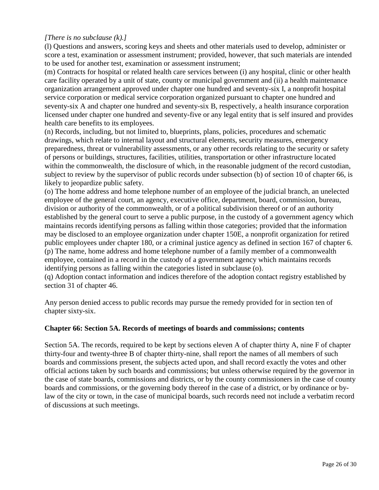# *[There is no subclause (k).]*

(l) Questions and answers, scoring keys and sheets and other materials used to develop, administer or score a test, examination or assessment instrument; provided, however, that such materials are intended to be used for another test, examination or assessment instrument;

(m) Contracts for hospital or related health care services between (i) any hospital, clinic or other health care facility operated by a unit of state, county or municipal government and (ii) a health maintenance organization arrangement approved under chapter one hundred and seventy-six I, a nonprofit hospital service corporation or medical service corporation organized pursuant to chapter one hundred and seventy-six A and chapter one hundred and seventy-six B, respectively, a health insurance corporation licensed under chapter one hundred and seventy-five or any legal entity that is self insured and provides health care benefits to its employees.

(n) Records, including, but not limited to, blueprints, plans, policies, procedures and schematic drawings, which relate to internal layout and structural elements, security measures, emergency preparedness, threat or vulnerability assessments, or any other records relating to the security or safety of persons or buildings, structures, facilities, utilities, transportation or other infrastructure located within the commonwealth, the disclosure of which, in the reasonable judgment of the record custodian, subject to review by the supervisor of public records under subsection (b) of section 10 of chapter 66, is likely to jeopardize public safety.

(o) The home address and home telephone number of an employee of the judicial branch, an unelected employee of the general court, an agency, executive office, department, board, commission, bureau, division or authority of the commonwealth, or of a political subdivision thereof or of an authority established by the general court to serve a public purpose, in the custody of a government agency which maintains records identifying persons as falling within those categories; provided that the information may be disclosed to an employee organization under chapter 150E, a nonprofit organization for retired public employees under chapter 180, or a criminal justice agency as defined in section 167 of chapter 6. (p) The name, home address and home telephone number of a family member of a commonwealth employee, contained in a record in the custody of a government agency which maintains records identifying persons as falling within the categories listed in subclause (o).

(q) Adoption contact information and indices therefore of the adoption contact registry established by section 31 of chapter 46.

Any person denied access to public records may pursue the remedy provided for in section ten of chapter sixty-six.

#### **Chapter 66: Section 5A. Records of meetings of boards and commissions; contents**

Section 5A. The records, required to be kept by sections eleven A of chapter thirty A, nine F of chapter thirty-four and twenty-three B of chapter thirty-nine, shall report the names of all members of such boards and commissions present, the subjects acted upon, and shall record exactly the votes and other official actions taken by such boards and commissions; but unless otherwise required by the governor in the case of state boards, commissions and districts, or by the county commissioners in the case of county boards and commissions, or the governing body thereof in the case of a district, or by ordinance or bylaw of the city or town, in the case of municipal boards, such records need not include a verbatim record of discussions at such meetings.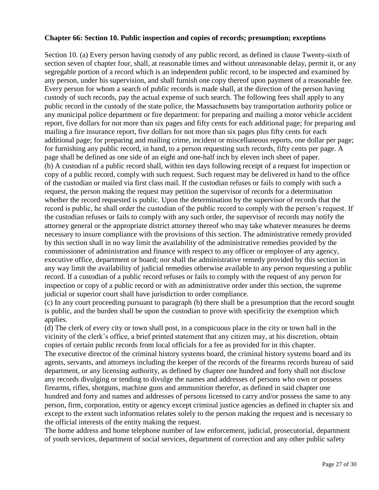#### **Chapter 66: Section 10. Public inspection and copies of records; presumption; exceptions**

Section 10. (a) Every person having custody of any public record, as defined in clause Twenty-sixth of section seven of chapter four, shall, at reasonable times and without unreasonable delay, permit it, or any segregable portion of a record which is an independent public record, to be inspected and examined by any person, under his supervision, and shall furnish one copy thereof upon payment of a reasonable fee. Every person for whom a search of public records is made shall, at the direction of the person having custody of such records, pay the actual expense of such search. The following fees shall apply to any public record in the custody of the state police, the Massachusetts bay transportation authority police or any municipal police department or fire department: for preparing and mailing a motor vehicle accident report, five dollars for not more than six pages and fifty cents for each additional page; for preparing and mailing a fire insurance report, five dollars for not more than six pages plus fifty cents for each additional page; for preparing and mailing crime, incident or miscellaneous reports, one dollar per page; for furnishing any public record, in hand, to a person requesting such records, fifty cents per page. A page shall be defined as one side of an eight and one-half inch by eleven inch sheet of paper. (b) A custodian of a public record shall, within ten days following receipt of a request for inspection or copy of a public record, comply with such request. Such request may be delivered in hand to the office of the custodian or mailed via first class mail. If the custodian refuses or fails to comply with such a request, the person making the request may petition the supervisor of records for a determination whether the record requested is public. Upon the determination by the supervisor of records that the record is public, he shall order the custodian of the public record to comply with the person's request. If the custodian refuses or fails to comply with any such order, the supervisor of records may notify the attorney general or the appropriate district attorney thereof who may take whatever measures he deems necessary to insure compliance with the provisions of this section. The administrative remedy provided by this section shall in no way limit the availability of the administrative remedies provided by the commissioner of administration and finance with respect to any officer or employee of any agency, executive office, department or board; nor shall the administrative remedy provided by this section in any way limit the availability of judicial remedies otherwise available to any person requesting a public record. If a custodian of a public record refuses or fails to comply with the request of any person for inspection or copy of a public record or with an administrative order under this section, the supreme judicial or superior court shall have jurisdiction to order compliance.

(c) In any court proceeding pursuant to paragraph (b) there shall be a presumption that the record sought is public, and the burden shall be upon the custodian to prove with specificity the exemption which applies.

(d) The clerk of every city or town shall post, in a conspicuous place in the city or town hall in the vicinity of the clerk's office, a brief printed statement that any citizen may, at his discretion, obtain copies of certain public records from local officials for a fee as provided for in this chapter. The executive director of the criminal history systems board, the criminal history systems board and its agents, servants, and attorneys including the keeper of the records of the firearms records bureau of said department, or any licensing authority, as defined by chapter one hundred and forty shall not disclose any records divulging or tending to divulge the names and addresses of persons who own or possess firearms, rifles, shotguns, machine guns and ammunition therefor, as defined in said chapter one hundred and forty and names and addresses of persons licensed to carry and/or possess the same to any person, firm, corporation, entity or agency except criminal justice agencies as defined in chapter six and except to the extent such information relates solely to the person making the request and is necessary to the official interests of the entity making the request.

The home address and home telephone number of law enforcement, judicial, prosecutorial, department of youth services, department of social services, department of correction and any other public safety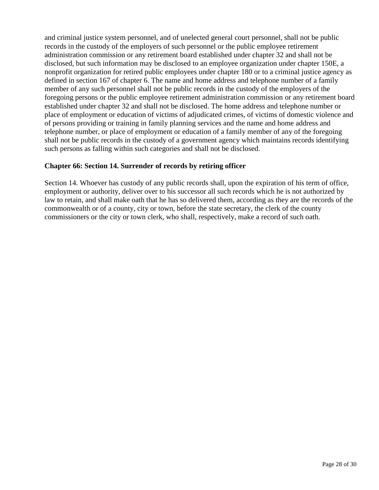and criminal justice system personnel, and of unelected general court personnel, shall not be public records in the custody of the employers of such personnel or the public employee retirement administration commission or any retirement board established under chapter 32 and shall not be disclosed, but such information may be disclosed to an employee organization under chapter 150E, a nonprofit organization for retired public employees under chapter 180 or to a criminal justice agency as defined in section 167 of chapter 6. The name and home address and telephone number of a family member of any such personnel shall not be public records in the custody of the employers of the foregoing persons or the public employee retirement administration commission or any retirement board established under chapter 32 and shall not be disclosed. The home address and telephone number or place of employment or education of victims of adjudicated crimes, of victims of domestic violence and of persons providing or training in family planning services and the name and home address and telephone number, or place of employment or education of a family member of any of the foregoing shall not be public records in the custody of a government agency which maintains records identifying such persons as falling within such categories and shall not be disclosed.

# **Chapter 66: Section 14. Surrender of records by retiring officer**

Section 14. Whoever has custody of any public records shall, upon the expiration of his term of office, employment or authority, deliver over to his successor all such records which he is not authorized by law to retain, and shall make oath that he has so delivered them, according as they are the records of the commonwealth or of a county, city or town, before the state secretary, the clerk of the county commissioners or the city or town clerk, who shall, respectively, make a record of such oath.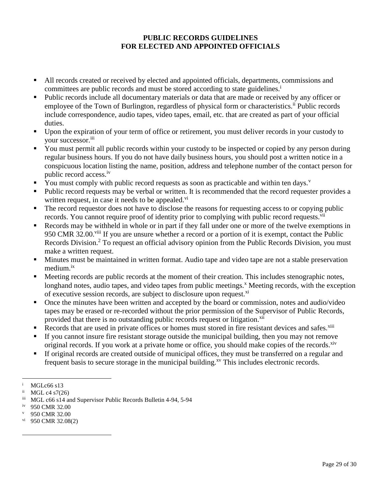# **PUBLIC RECORDS GUIDELINES FOR ELECTED AND APPOINTED OFFICIALS**

- All records created or received by elected and appointed officials, departments, commissions and committees are public records and must be stored according to state guidelines.<sup>1</sup>
- Public records include all documentary materials or data that are made or received by any officer or employee of the Town of Burlington, regardless of physical form or characteristics.<sup>ii</sup> Public records include correspondence, audio tapes, video tapes, email, etc. that are created as part of your official duties.
- Upon the expiration of your term of office or retirement, you must deliver records in your custody to your successor.iii
- You must permit all public records within your custody to be inspected or copied by any person during regular business hours. If you do not have daily business hours, you should post a written notice in a conspicuous location listing the name, position, address and telephone number of the contact person for public record access.iv
- You must comply with public record requests as soon as practicable and within ten days.<sup> $v$ </sup>
- Public record requests may be verbal or written. It is recommended that the record requester provides a written request, in case it needs to be appealed.<sup>vi</sup>
- The record requestor does not have to disclose the reasons for requesting access to or copying public records. You cannot require proof of identity prior to complying with public record requests.<sup>vii</sup>
- Records may be withheld in whole or in part if they fall under one or more of the twelve exemptions in 950 CMR 32.00.<sup>viii</sup> If you are unsure whether a record or a portion of it is exempt, contact the Public Records Division.<sup>2</sup> To request an official advisory opinion from the Public Records Division, you must make a written request.
- Minutes must be maintained in written format. Audio tape and video tape are not a stable preservation medium.<sup>ix</sup>
- Meeting records are public records at the moment of their creation. This includes stenographic notes, longhand notes, audio tapes, and video tapes from public meetings.<sup>x</sup> Meeting records, with the exception of executive session records, are subject to disclosure upon request.<sup>xi</sup>
- Once the minutes have been written and accepted by the board or commission, notes and audio/video tapes may be erased or re-recorded without the prior permission of the Supervisor of Public Records, provided that there is no outstanding public records request or litigation.<sup>xii</sup>
- Records that are used in private offices or homes must stored in fire resistant devices and safes. $\frac{x}{10}$
- If you cannot insure fire resistant storage outside the municipal building, then you may not remove original records. If you work at a private home or office, you should make copies of the records.<sup>xiv</sup>
- If original records are created outside of municipal offices, they must be transferred on a regular and frequent basis to secure storage in the municipal building.<sup>xv</sup> This includes electronic records.

 $\overline{a}$ 

 $\overline{a}$ 

- 950 CMR 32.00
- $\rm{v}$ <sup>vi</sup> 950 CMR 32.08(2)

<sup>&</sup>lt;sup>i</sup> MGLc66 s13<br><sup>ii</sup> MGL e4.57(2)

 $MGL$  c4 s7(26)

iii MGL c66 s14 and Supervisor Public Records Bulletin 4-94, 5-94

iv 950 CMR 32.00